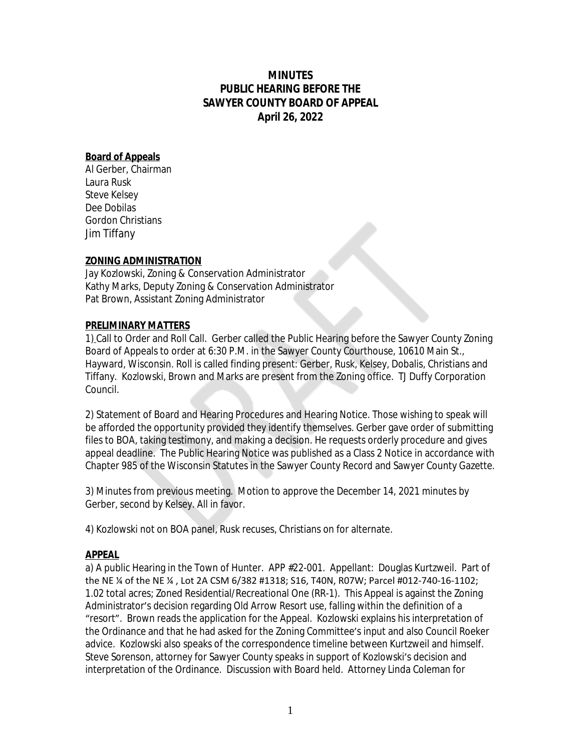# **MINUTES PUBLIC HEARING BEFORE THE SAWYER COUNTY BOARD OF APPEAL April 26, 2022**

### **Board of Appeals**

Al Gerber, Chairman Laura Rusk Steve Kelsey Dee Dobilas Gordon Christians Jim Tiffany

# **ZONING ADMINISTRATION**

Jay Kozlowski, Zoning & Conservation Administrator Kathy Marks, Deputy Zoning & Conservation Administrator Pat Brown, Assistant Zoning Administrator

### **PRELIMINARY MATTERS**

1) Call to Order and Roll Call. Gerber called the Public Hearing before the Sawyer County Zoning Board of Appeals to order at 6:30 P.M. in the Sawyer County Courthouse, 10610 Main St., Hayward, Wisconsin. Roll is called finding present: Gerber, Rusk, Kelsey, Dobalis, Christians and Tiffany. Kozlowski, Brown and Marks are present from the Zoning office. TJ Duffy Corporation Council.

2) Statement of Board and Hearing Procedures and Hearing Notice. Those wishing to speak will be afforded the opportunity provided they identify themselves. Gerber gave order of submitting files to BOA, taking testimony, and making a decision. He requests orderly procedure and gives appeal deadline. The Public Hearing Notice was published as a Class 2 Notice in accordance with Chapter 985 of the Wisconsin Statutes in the Sawyer County Record and Sawyer County Gazette.

3) Minutes from previous meeting. Motion to approve the December 14, 2021 minutes by Gerber, second by Kelsey. All in favor.

4) Kozlowski not on BOA panel, Rusk recuses, Christians on for alternate.

### **APPEAL**

a) A public Hearing in the Town of Hunter. APP #22-001. Appellant: Douglas Kurtzweil. Part of the NE ¼ of the NE ¼ , Lot 2A CSM 6/382 #1318; S16, T40N, R07W; Parcel #012-740-16-1102; 1.02 total acres; Zoned Residential/Recreational One (RR-1). This Appeal is against the Zoning Administrator's decision regarding Old Arrow Resort use, falling within the definition of a "resort". Brown reads the application for the Appeal. Kozlowski explains his interpretation of the Ordinance and that he had asked for the Zoning Committee's input and also Council Roeker advice. Kozlowski also speaks of the correspondence timeline between Kurtzweil and himself. Steve Sorenson, attorney for Sawyer County speaks in support of Kozlowski's decision and interpretation of the Ordinance. Discussion with Board held. Attorney Linda Coleman for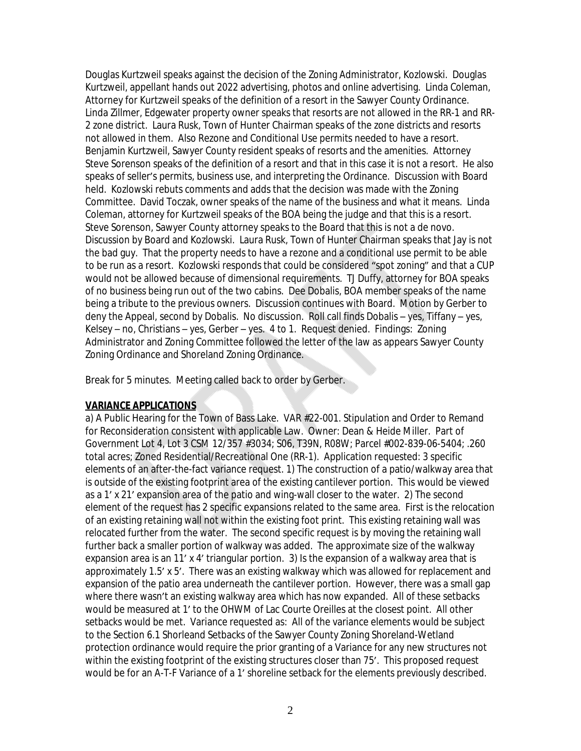Douglas Kurtzweil speaks against the decision of the Zoning Administrator, Kozlowski. Douglas Kurtzweil, appellant hands out 2022 advertising, photos and online advertising. Linda Coleman, Attorney for Kurtzweil speaks of the definition of a resort in the Sawyer County Ordinance. Linda Zillmer, Edgewater property owner speaks that resorts are not allowed in the RR-1 and RR-2 zone district. Laura Rusk, Town of Hunter Chairman speaks of the zone districts and resorts not allowed in them. Also Rezone and Conditional Use permits needed to have a resort. Benjamin Kurtzweil, Sawyer County resident speaks of resorts and the amenities. Attorney Steve Sorenson speaks of the definition of a resort and that in this case it is not a resort. He also speaks of seller's permits, business use, and interpreting the Ordinance. Discussion with Board held. Kozlowski rebuts comments and adds that the decision was made with the Zoning Committee. David Toczak, owner speaks of the name of the business and what it means. Linda Coleman, attorney for Kurtzweil speaks of the BOA being the judge and that this is a resort. Steve Sorenson, Sawyer County attorney speaks to the Board that this is not a de novo. Discussion by Board and Kozlowski. Laura Rusk, Town of Hunter Chairman speaks that Jay is not the bad guy. That the property needs to have a rezone and a conditional use permit to be able to be run as a resort. Kozlowski responds that could be considered "spot zoning" and that a CUP would not be allowed because of dimensional requirements. TJ Duffy, attorney for BOA speaks of no business being run out of the two cabins. Dee Dobalis, BOA member speaks of the name being a tribute to the previous owners. Discussion continues with Board. Motion by Gerber to deny the Appeal, second by Dobalis. No discussion. Roll call finds Dobalis – yes, Tiffany – yes, Kelsey – no, Christians – yes, Gerber – yes. 4 to 1. Request denied. Findings: Zoning Administrator and Zoning Committee followed the letter of the law as appears Sawyer County Zoning Ordinance and Shoreland Zoning Ordinance.

Break for 5 minutes. Meeting called back to order by Gerber.

### **VARIANCE APPLICATIONS**

a) A Public Hearing for the Town of Bass Lake. VAR #22-001. Stipulation and Order to Remand for Reconsideration consistent with applicable Law. Owner: Dean & Heide Miller. Part of Government Lot 4, Lot 3 CSM 12/357 #3034; S06, T39N, R08W; Parcel #002-839-06-5404; .260 total acres; Zoned Residential/Recreational One (RR-1). Application requested: 3 specific elements of an after-the-fact variance request. 1) The construction of a patio/walkway area that is outside of the existing footprint area of the existing cantilever portion. This would be viewed as a 1' x 21' expansion area of the patio and wing-wall closer to the water. 2) The second element of the request has 2 specific expansions related to the same area. First is the relocation of an existing retaining wall not within the existing foot print. This existing retaining wall was relocated further from the water. The second specific request is by moving the retaining wall further back a smaller portion of walkway was added. The approximate size of the walkway expansion area is an 11' x 4' triangular portion. 3) Is the expansion of a walkway area that is approximately 1.5' x 5'. There was an existing walkway which was allowed for replacement and expansion of the patio area underneath the cantilever portion. However, there was a small gap where there wasn't an existing walkway area which has now expanded. All of these setbacks would be measured at 1' to the OHWM of Lac Courte Oreilles at the closest point. All other setbacks would be met. Variance requested as: All of the variance elements would be subject to the Section 6.1 Shorleand Setbacks of the Sawyer County Zoning Shoreland-Wetland protection ordinance would require the prior granting of a Variance for any new structures not within the existing footprint of the existing structures closer than 75'. This proposed request would be for an A-T-F Variance of a 1' shoreline setback for the elements previously described.